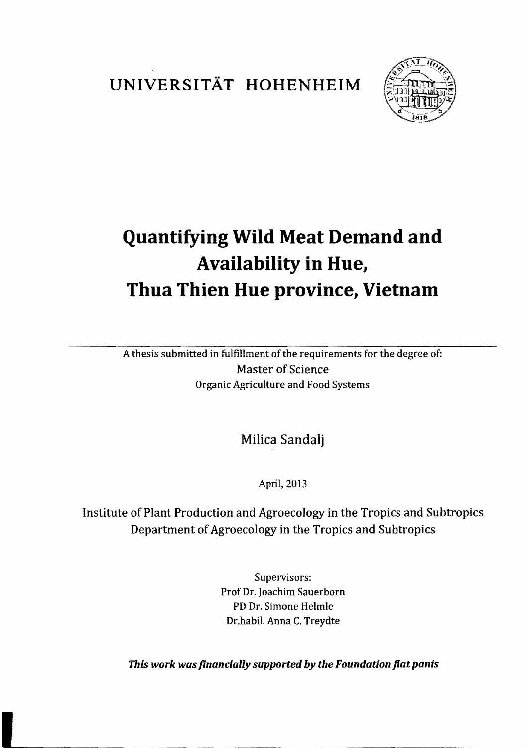UNIVERSITÄT HOHENHEIM



## **Quantifying Wild Meat Demand and** Availability in Hue, Thua Thien Hue province, Vietnam

A thesis submitted in fulfillment of the requirements for the degree of: **Master of Science Organic Agriculture and Food Systems** 

Milica Sandalj

April, 2013

Institute of Plant Production and Agroecology in the Tropics and Subtropics Department of Agroecology in the Tropics and Subtropics

> Supervisors: Prof Dr. Joachim Sauerborn PD Dr. Simone Helmle Dr.habil. Anna C. Treydte

This work was financially supported by the Foundation fiat panis